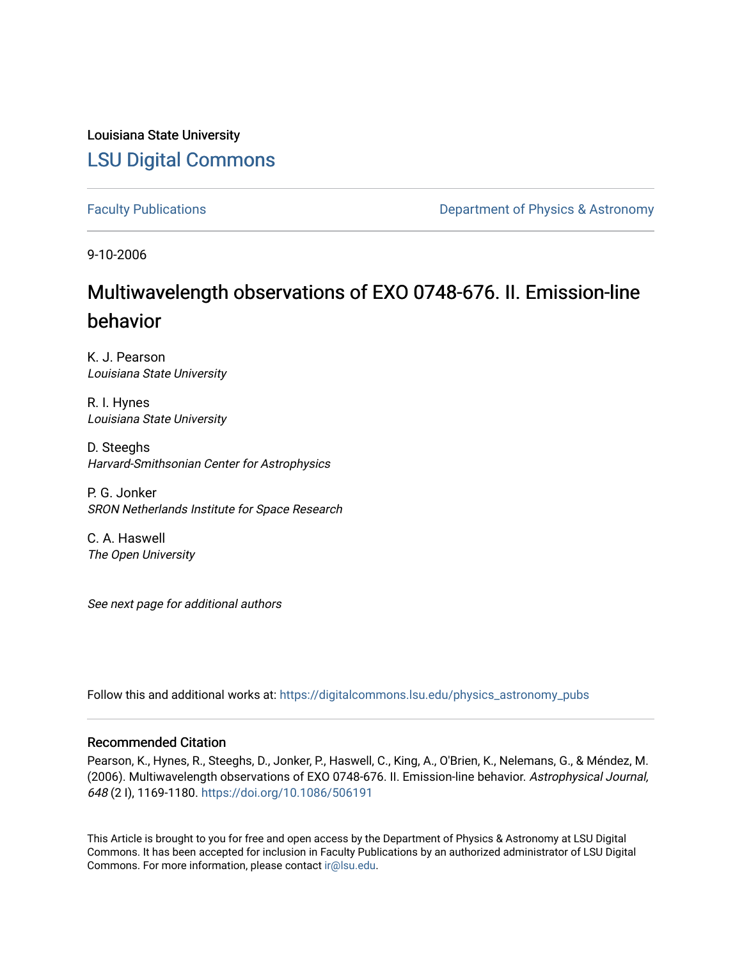Louisiana State University [LSU Digital Commons](https://digitalcommons.lsu.edu/)

[Faculty Publications](https://digitalcommons.lsu.edu/physics_astronomy_pubs) **Exercise 2 and Table 2 and Table 2 and Table 2 and Table 2 and Table 2 and Table 2 and Table 2 and Table 2 and Table 2 and Table 2 and Table 2 and Table 2 and Table 2 and Table 2 and Table 2 and Table** 

9-10-2006

# Multiwavelength observations of EXO 0748-676. II. Emission-line behavior

K. J. Pearson Louisiana State University

R. I. Hynes Louisiana State University

D. Steeghs Harvard-Smithsonian Center for Astrophysics

P. G. Jonker SRON Netherlands Institute for Space Research

C. A. Haswell The Open University

See next page for additional authors

Follow this and additional works at: [https://digitalcommons.lsu.edu/physics\\_astronomy\\_pubs](https://digitalcommons.lsu.edu/physics_astronomy_pubs?utm_source=digitalcommons.lsu.edu%2Fphysics_astronomy_pubs%2F2619&utm_medium=PDF&utm_campaign=PDFCoverPages) 

## Recommended Citation

Pearson, K., Hynes, R., Steeghs, D., Jonker, P., Haswell, C., King, A., O'Brien, K., Nelemans, G., & Méndez, M. (2006). Multiwavelength observations of EXO 0748-676. II. Emission-line behavior. Astrophysical Journal, 648 (2 I), 1169-1180.<https://doi.org/10.1086/506191>

This Article is brought to you for free and open access by the Department of Physics & Astronomy at LSU Digital Commons. It has been accepted for inclusion in Faculty Publications by an authorized administrator of LSU Digital Commons. For more information, please contact [ir@lsu.edu](mailto:ir@lsu.edu).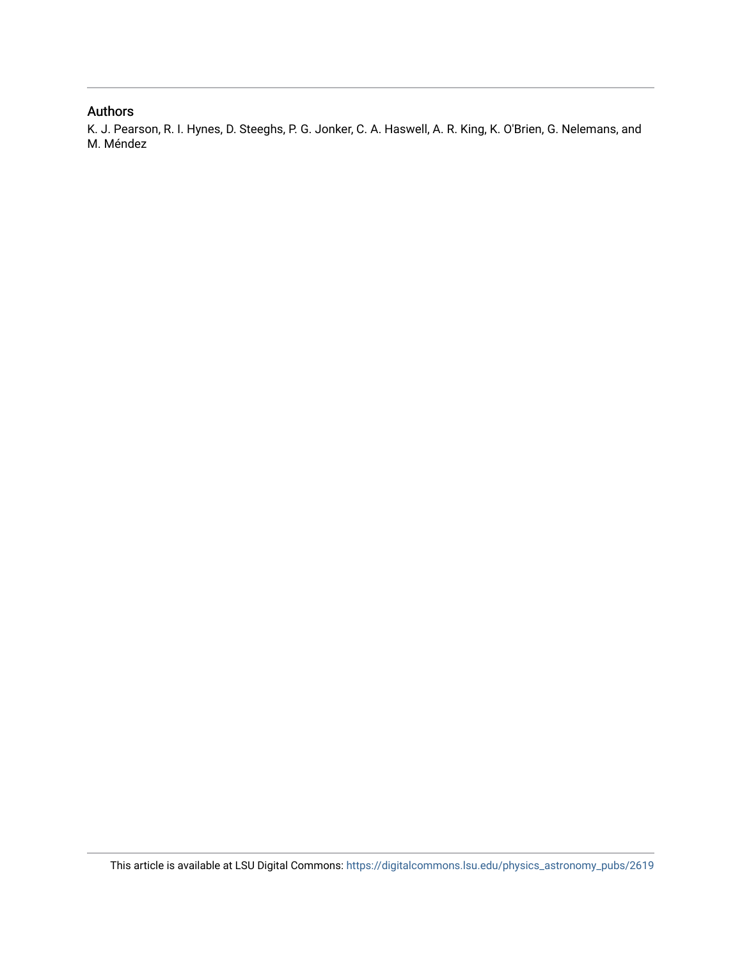# Authors

K. J. Pearson, R. I. Hynes, D. Steeghs, P. G. Jonker, C. A. Haswell, A. R. King, K. O'Brien, G. Nelemans, and M. Méndez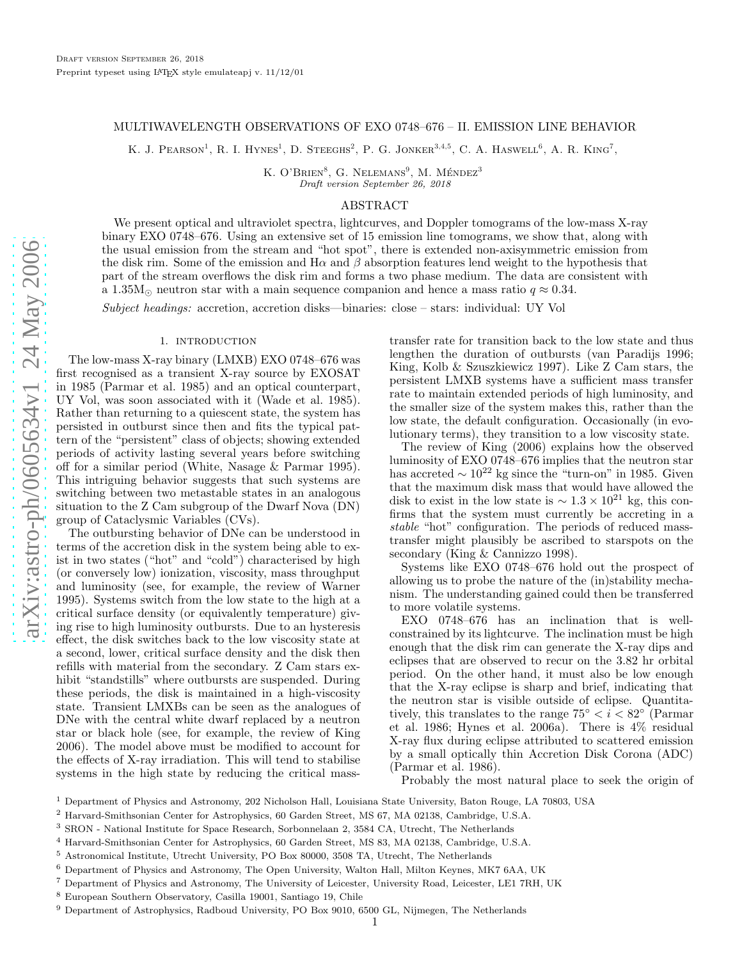## MULTIWAVELENGTH OBSERVATIONS OF EXO 0748–676 – II. EMISSION LINE BEHAVIOR

K. J. PEARSON<sup>1</sup>, R. I. HYNES<sup>1</sup>, D. STEEGHS<sup>2</sup>, P. G. JONKER<sup>3,4,5</sup>, C. A. HASWELL<sup>6</sup>, A. R. KING<sup>7</sup>,

K. O'BRIEN<sup>8</sup>, G. NELEMANS<sup>9</sup>, M. MÉNDEZ<sup>3</sup> Draft version September 26, 2018

## ABSTRACT

We present optical and ultraviolet spectra, lightcurves, and Doppler tomograms of the low-mass X-ray binary EXO 0748–676. Using an extensive set of 15 emission line tomograms, we show that, along with the usual emission from the stream and "hot spot", there is extended non-axisymmetric emission from the disk rim. Some of the emission and  $H\alpha$  and  $\beta$  absorption features lend weight to the hypothesis that part of the stream overflows the disk rim and forms a two phase medium. The data are consistent with a 1.35M<sub>o</sub> neutron star with a main sequence companion and hence a mass ratio  $q \approx 0.34$ .

Subject headings: accretion, accretion disks—binaries: close – stars: individual: UY Vol

## 1. introduction

The low-mass X-ray binary (LMXB) EXO 0748–676 was first recognised as a transient X-ray source by EXOSAT in 1985 (Parmar et al. 1985) and an optical counterpart, UY Vol, was soon associated with it (Wade et al. 1985). Rather than returning to a quiescent state, the system has persisted in outburst since then and fits the typical pattern of the "persistent" class of objects; showing extended periods of activity lasting several years before switching off for a similar period (White, Nasage & Parmar 1995). This intriguing behavior suggests that such systems are switching between two metastable states in an analogous situation to the Z Cam subgroup of the Dwarf Nova (DN) group of Cataclysmic Variables (CVs).

The outbursting behavior of DNe can be understood in terms of the accretion disk in the system being able to exist in two states ("hot" and "cold") characterised by high (or conversely low) ionization, viscosity, mass throughput and luminosity (see, for example, the review of Warner 1995). Systems switch from the low state to the high at a critical surface density (or equivalently temperature) giving rise to high luminosity outbursts. Due to an hysteresis effect, the disk switches back to the low viscosity state at a second, lower, critical surface density and the disk then refills with material from the secondary. Z Cam stars exhibit "standstills" where outbursts are suspended. During these periods, the disk is maintained in a high-viscosity state. Transient LMXBs can be seen as the analogues of DNe with the central white dwarf replaced by a neutron star or black hole (see, for example, the review of King 2006). The model above must be modified to account for the effects of X-ray irradiation. This will tend to stabilise systems in the high state by reducing the critical mass-

transfer rate for transition back to the low state and thus lengthen the duration of outbursts (van Paradijs 1996; King, Kolb & Szuszkiewicz 1997). Like Z Cam stars, the persistent LMXB systems have a sufficient mass transfer rate to maintain extended periods of high luminosity, and the smaller size of the system makes this, rather than the low state, the default configuration. Occasionally (in evolutionary terms), they transition to a low viscosity state.

The review of King (2006) explains how the observed luminosity of EXO 0748–676 implies that the neutron star has accreted  $\sim 10^{22}$  kg since the "turn-on" in 1985. Given that the maximum disk mass that would have allowed the disk to exist in the low state is  $\sim 1.3 \times 10^{21}$  kg, this confirms that the system must currently be accreting in a stable "hot" configuration. The periods of reduced masstransfer might plausibly be ascribed to starspots on the secondary (King & Cannizzo 1998).

Systems like EXO 0748–676 hold out the prospect of allowing us to probe the nature of the (in)stability mechanism. The understanding gained could then be transferred to more volatile systems.

EXO 0748–676 has an inclination that is wellconstrained by its lightcurve. The inclination must be high enough that the disk rim can generate the X-ray dips and eclipses that are observed to recur on the 3.82 hr orbital period. On the other hand, it must also be low enough that the X-ray eclipse is sharp and brief, indicating that the neutron star is visible outside of eclipse. Quantitatively, this translates to the range  $75^{\circ} < i < 82^{\circ}$  (Parmar et al. 1986; Hynes et al. 2006a). There is 4% residual X-ray flux during eclipse attributed to scattered emission by a small optically thin Accretion Disk Corona (ADC) (Parmar et al. 1986).

Probably the most natural place to seek the origin of

<sup>1</sup> Department of Physics and Astronomy, 202 Nicholson Hall, Louisiana State University, Baton Rouge, LA 70803, USA

<sup>2</sup> Harvard-Smithsonian Center for Astrophysics, 60 Garden Street, MS 67, MA 02138, Cambridge, U.S.A.

<sup>3</sup> SRON - National Institute for Space Research, Sorbonnelaan 2, 3584 CA, Utrecht, The Netherlands

<sup>4</sup> Harvard-Smithsonian Center for Astrophysics, 60 Garden Street, MS 83, MA 02138, Cambridge, U.S.A.

<sup>5</sup> Astronomical Institute, Utrecht University, PO Box 80000, 3508 TA, Utrecht, The Netherlands

<sup>6</sup> Department of Physics and Astronomy, The Open University, Walton Hall, Milton Keynes, MK7 6AA, UK

<sup>7</sup> Department of Physics and Astronomy, The University of Leicester, University Road, Leicester, LE1 7RH, UK

<sup>8</sup> European Southern Observatory, Casilla 19001, Santiago 19, Chile

<sup>9</sup> Department of Astrophysics, Radboud University, PO Box 9010, 6500 GL, Nijmegen, The Netherlands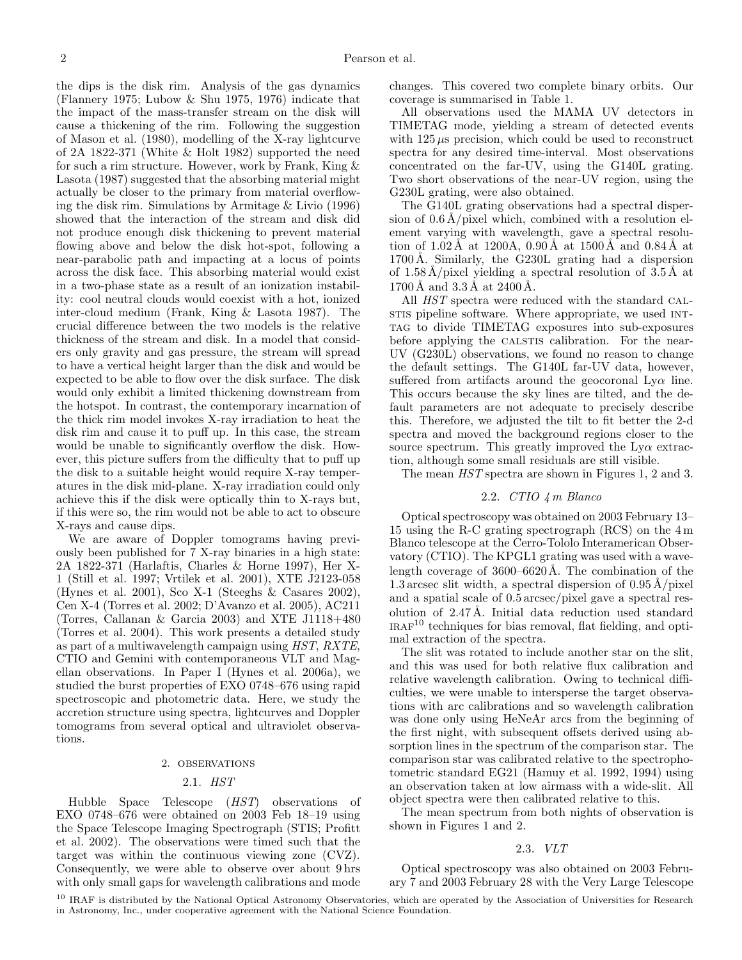the dips is the disk rim. Analysis of the gas dynamics (Flannery 1975; Lubow & Shu 1975, 1976) indicate that the impact of the mass-transfer stream on the disk will cause a thickening of the rim. Following the suggestion of Mason et al. (1980), modelling of the X-ray lightcurve of 2A 1822-371 (White & Holt 1982) supported the need for such a rim structure. However, work by Frank, King & Lasota (1987) suggested that the absorbing material might actually be closer to the primary from material overflowing the disk rim. Simulations by Armitage & Livio (1996) showed that the interaction of the stream and disk did not produce enough disk thickening to prevent material flowing above and below the disk hot-spot, following a near-parabolic path and impacting at a locus of points across the disk face. This absorbing material would exist in a two-phase state as a result of an ionization instability: cool neutral clouds would coexist with a hot, ionized inter-cloud medium (Frank, King & Lasota 1987). The crucial difference between the two models is the relative thickness of the stream and disk. In a model that considers only gravity and gas pressure, the stream will spread to have a vertical height larger than the disk and would be expected to be able to flow over the disk surface. The disk would only exhibit a limited thickening downstream from the hotspot. In contrast, the contemporary incarnation of the thick rim model invokes X-ray irradiation to heat the disk rim and cause it to puff up. In this case, the stream would be unable to significantly overflow the disk. However, this picture suffers from the difficulty that to puff up the disk to a suitable height would require X-ray temperatures in the disk mid-plane. X-ray irradiation could only achieve this if the disk were optically thin to X-rays but, if this were so, the rim would not be able to act to obscure X-rays and cause dips.

We are aware of Doppler tomograms having previously been published for 7 X-ray binaries in a high state: 2A 1822-371 (Harlaftis, Charles & Horne 1997), Her X-1 (Still et al. 1997; Vrtilek et al. 2001), XTE J2123-058 (Hynes et al. 2001), Sco X-1 (Steeghs & Casares 2002), Cen X-4 (Torres et al. 2002; D'Avanzo et al. 2005), AC211 (Torres, Callanan & Garcia 2003) and XTE J1118+480 (Torres et al. 2004). This work presents a detailed study as part of a multiwavelength campaign using HST, RXTE, CTIO and Gemini with contemporaneous VLT and Magellan observations. In Paper I (Hynes et al. 2006a), we studied the burst properties of EXO 0748–676 using rapid spectroscopic and photometric data. Here, we study the accretion structure using spectra, lightcurves and Doppler tomograms from several optical and ultraviolet observations.

## 2. observations

## 2.1. HST

Hubble Space Telescope (HST) observations of EXO 0748–676 were obtained on 2003 Feb 18–19 using the Space Telescope Imaging Spectrograph (STIS; Profitt et al. 2002). The observations were timed such that the target was within the continuous viewing zone (CVZ). Consequently, we were able to observe over about 9 hrs with only small gaps for wavelength calibrations and mode

changes. This covered two complete binary orbits. Our coverage is summarised in Table 1.

All observations used the MAMA UV detectors in TIMETAG mode, yielding a stream of detected events with  $125 \mu s$  precision, which could be used to reconstruct spectra for any desired time-interval. Most observations concentrated on the far-UV, using the G140L grating. Two short observations of the near-UV region, using the G230L grating, were also obtained.

The G140L grating observations had a spectral dispersion of  $0.6 \text{ Å/pixel}$  which, combined with a resolution element varying with wavelength, gave a spectral resolution of  $1.02 \text{ Å}$  at  $1200 \text{Å}$ ,  $0.90 \text{Å}$  at  $1500 \text{Å}$  and  $0.84 \text{Å}$  at  $1700 \text{\AA}$ . Similarly, the G230L grating had a dispersion of  $1.58 \text{ Å/pixel yielding a spectral resolution of } 3.5 \text{ Å at}$  $1700 \text{ Å}$  and  $3.3 \text{ Å}$  at  $2400 \text{ Å}$ .

All HST spectra were reduced with the standard CALstis pipeline software. Where appropriate, we used INTtag to divide TIMETAG exposures into sub-exposures before applying the CALSTIS calibration. For the near-UV (G230L) observations, we found no reason to change the default settings. The G140L far-UV data, however, suffered from artifacts around the geocoronal  $Ly\alpha$  line. This occurs because the sky lines are tilted, and the default parameters are not adequate to precisely describe this. Therefore, we adjusted the tilt to fit better the 2-d spectra and moved the background regions closer to the source spectrum. This greatly improved the  $Ly\alpha$  extraction, although some small residuals are still visible.

The mean HST spectra are shown in Figures 1, 2 and 3.

## 2.2. CTIO 4 m Blanco

Optical spectroscopy was obtained on 2003 February 13– 15 using the R-C grating spectrograph (RCS) on the 4 m Blanco telescope at the Cerro-Tololo Interamerican Observatory (CTIO). The KPGL1 grating was used with a wavelength coverage of  $3600-6620$ Å. The combination of the 1.3 arcsec slit width, a spectral dispersion of  $0.95 \text{\AA}/\text{pixel}$ and a spatial scale of 0.5 arcsec/pixel gave a spectral resolution of 2.47Å. Initial data reduction used standard  $IRAF<sup>10</sup>$  techniques for bias removal, flat fielding, and optimal extraction of the spectra.

The slit was rotated to include another star on the slit, and this was used for both relative flux calibration and relative wavelength calibration. Owing to technical difficulties, we were unable to intersperse the target observations with arc calibrations and so wavelength calibration was done only using HeNeAr arcs from the beginning of the first night, with subsequent offsets derived using absorption lines in the spectrum of the comparison star. The comparison star was calibrated relative to the spectrophotometric standard EG21 (Hamuy et al. 1992, 1994) using an observation taken at low airmass with a wide-slit. All object spectra were then calibrated relative to this.

The mean spectrum from both nights of observation is shown in Figures 1 and 2.

## 2.3. VLT

Optical spectroscopy was also obtained on 2003 February 7 and 2003 February 28 with the Very Large Telescope

<sup>10</sup> IRAF is distributed by the National Optical Astronomy Observatories, which are operated by the Association of Universities for Research in Astronomy, Inc., under cooperative agreement with the National Science Foundation.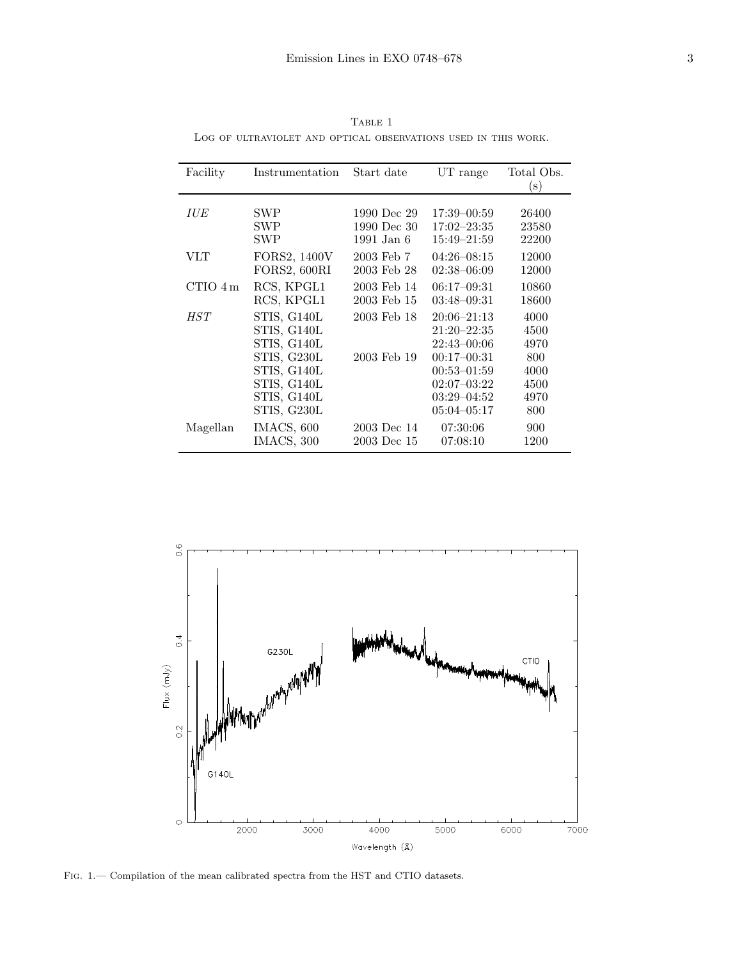| Facility   | Instrumentation | Start date   | UT range        | Total Obs.<br>$\mathbf{s})$ |
|------------|-----------------|--------------|-----------------|-----------------------------|
|            |                 |              |                 |                             |
| <b>IUE</b> | SWP             | 1990 Dec 29  | $17:39 - 00:59$ | 26400                       |
|            | <b>SWP</b>      | 1990 Dec 30  | $17:02 - 23:35$ | 23580                       |
|            | <b>SWP</b>      | $1991$ Jan 6 | $15:49 - 21:59$ | 22200                       |
| VLT        |                 | 2003 Feb 7   | $04:26-08:15$   |                             |
|            | FORS2, 1400V    |              |                 | 12000                       |
|            | FORS2, 600RI    | 2003 Feb 28  | $02:38-06:09$   | 12000                       |
| CTIO 4m    | RCS, KPGL1      | 2003 Feb 14  | $06:17-09:31$   | 10860                       |
|            | RCS, KPGL1      | 2003 Feb 15  | $03:48-09:31$   | 18600                       |
| <i>HST</i> | STIS, G140L     | 2003 Feb 18  | $20:06 - 21:13$ | 4000                        |
|            | STIS, G140L     |              | $21:20 - 22:35$ | 4500                        |
|            | STIS, G140L     |              | $22:43 - 00:06$ | 4970                        |
|            | STIS, G230L     | 2003 Feb 19  | $00:17-00:31$   | 800                         |
|            | STIS, G140L     |              | $00:53 - 01:59$ | 4000                        |
|            | STIS, G140L     |              | $02:07 - 03:22$ | 4500                        |
|            | STIS, G140L     |              | $03:29 - 04:52$ | 4970                        |
|            | STIS, G230L     |              | $05:04 - 05:17$ | 800                         |
|            |                 |              |                 |                             |
| Magellan   | IMACS, 600      | 2003 Dec 14  | 07:30:06        | 900                         |
|            | IMACS, 300      | 2003 Dec 15  | 07:08:10        | 1200                        |

TABLE 1 Log of ultraviolet and optical observations used in this work.



FIG. 1.— Compilation of the mean calibrated spectra from the HST and CTIO datasets.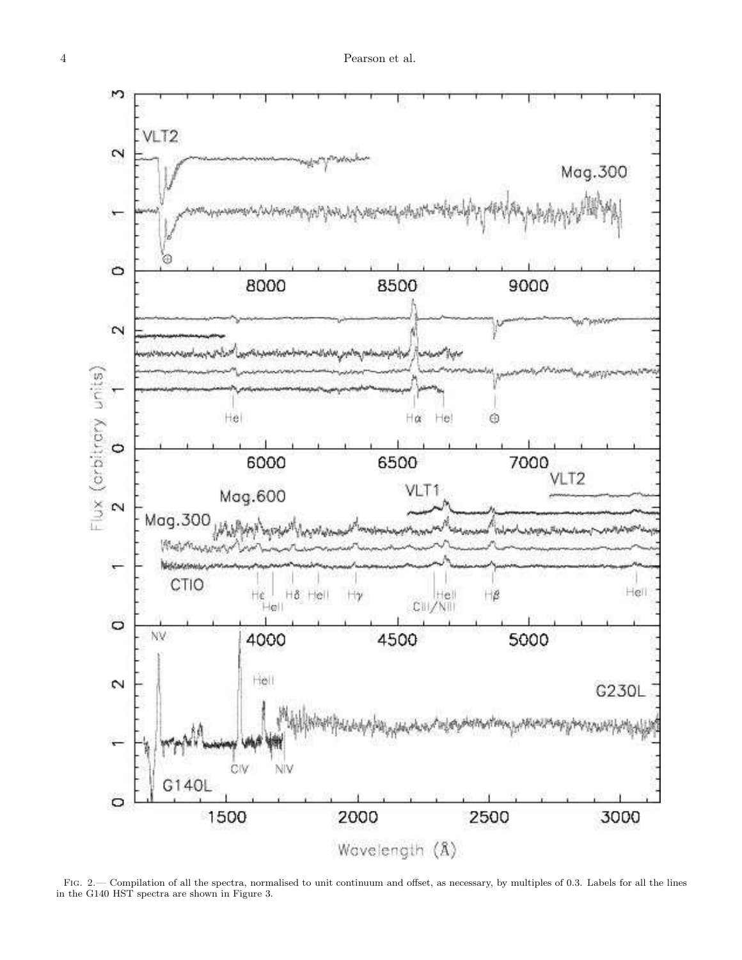

Fig. 2.— Compilation of all the spectra, normalised to unit continuum and offset, as necessary, by multiples of 0.3. Labels for all the lines in the G140 HST spectra are shown in Figure 3.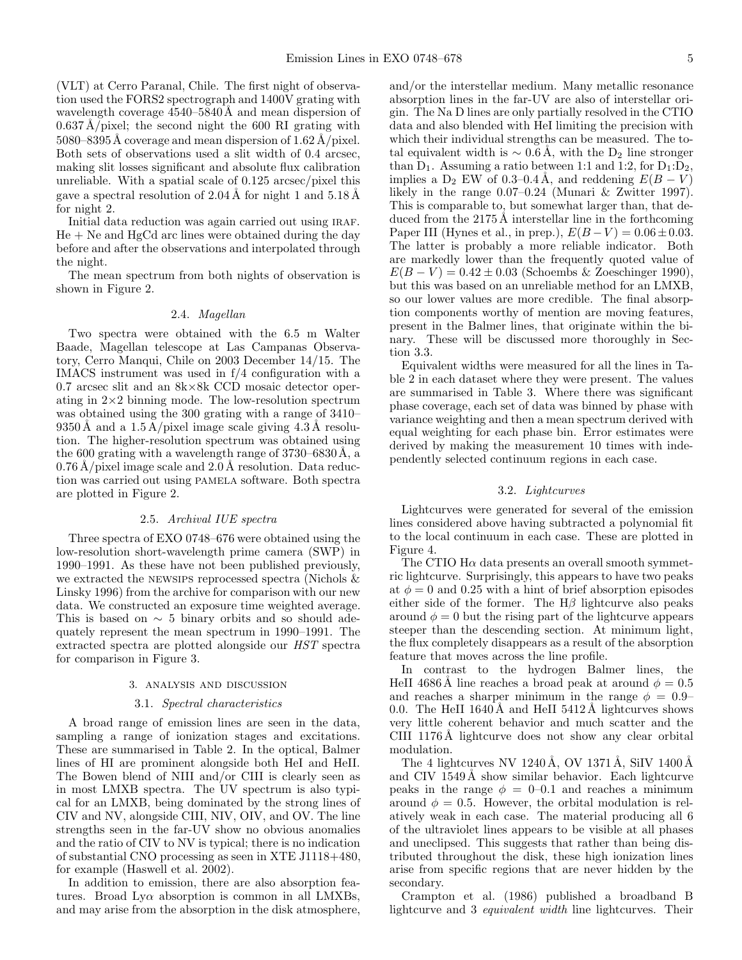(VLT) at Cerro Paranal, Chile. The first night of observation used the FORS2 spectrograph and 1400V grating with wavelength coverage  $4540-5840\text{\AA}$  and mean dispersion of  $0.637 \text{ Å/pixel}$ ; the second night the 600 RI grating with  $5080-8395\text{\AA}$  coverage and mean dispersion of  $1.62\text{\AA}/\text{pixel}$ . Both sets of observations used a slit width of 0.4 arcsec, making slit losses significant and absolute flux calibration unreliable. With a spatial scale of 0.125 arcsec/pixel this gave a spectral resolution of  $2.04 \text{ Å}$  for night 1 and  $5.18 \text{ Å}$ for night 2.

Initial data reduction was again carried out using IRAF.  $He + Ne$  and  $HgCd$  arc lines were obtained during the day before and after the observations and interpolated through the night.

The mean spectrum from both nights of observation is shown in Figure 2.

## 2.4. Magellan

Two spectra were obtained with the 6.5 m Walter Baade, Magellan telescope at Las Campanas Observatory, Cerro Manqui, Chile on 2003 December 14/15. The IMACS instrument was used in f/4 configuration with a 0.7 arcsec slit and an 8k×8k CCD mosaic detector operating in  $2\times 2$  binning mode. The low-resolution spectrum was obtained using the 300 grating with a range of 3410–  $9350 \text{\AA}$  and a  $1.5 \text{\AA}/\text{pixel}$  image scale giving  $4.3 \text{\AA}$  resolution. The higher-resolution spectrum was obtained using the 600 grating with a wavelength range of  $3730-6830\text{\AA}$ , a  $0.76 \text{ Å/pixel image scale and } 2.0 \text{ Å resolution}$ . Data reduction was carried out using pamela software. Both spectra are plotted in Figure 2.

## 2.5. Archival IUE spectra

Three spectra of EXO 0748–676 were obtained using the low-resolution short-wavelength prime camera (SWP) in 1990–1991. As these have not been published previously, we extracted the newsips reprocessed spectra (Nichols & Linsky 1996) from the archive for comparison with our new data. We constructed an exposure time weighted average. This is based on  $\sim$  5 binary orbits and so should adequately represent the mean spectrum in 1990–1991. The extracted spectra are plotted alongside our HST spectra for comparison in Figure 3.

## 3. analysis and discussion

### 3.1. Spectral characteristics

A broad range of emission lines are seen in the data, sampling a range of ionization stages and excitations. These are summarised in Table 2. In the optical, Balmer lines of HI are prominent alongside both HeI and HeII. The Bowen blend of NIII and/or CIII is clearly seen as in most LMXB spectra. The UV spectrum is also typical for an LMXB, being dominated by the strong lines of CIV and NV, alongside CIII, NIV, OIV, and OV. The line strengths seen in the far-UV show no obvious anomalies and the ratio of CIV to NV is typical; there is no indication of substantial CNO processing as seen in XTE J1118+480, for example (Haswell et al. 2002).

In addition to emission, there are also absorption features. Broad  $Ly\alpha$  absorption is common in all LMXBs, and may arise from the absorption in the disk atmosphere,

and/or the interstellar medium. Many metallic resonance absorption lines in the far-UV are also of interstellar origin. The Na D lines are only partially resolved in the CTIO data and also blended with HeI limiting the precision with which their individual strengths can be measured. The total equivalent width is  $\sim 0.6$  Å, with the D<sub>2</sub> line stronger than  $D_1$ . Assuming a ratio between 1:1 and 1:2, for  $D_1:D_2$ , implies a D<sub>2</sub> EW of 0.3–0.4 Å, and reddening  $E(B - V)$ likely in the range 0.07–0.24 (Munari & Zwitter 1997). This is comparable to, but somewhat larger than, that deduced from the  $2175 \text{\AA}$  interstellar line in the forthcoming Paper III (Hynes et al., in prep.),  $E(B-V) = 0.06 \pm 0.03$ . The latter is probably a more reliable indicator. Both are markedly lower than the frequently quoted value of  $E(B - V) = 0.42 \pm 0.03$  (Schoembs & Zoeschinger 1990), but this was based on an unreliable method for an LMXB, so our lower values are more credible. The final absorption components worthy of mention are moving features, present in the Balmer lines, that originate within the binary. These will be discussed more thoroughly in Section 3.3.

Equivalent widths were measured for all the lines in Table 2 in each dataset where they were present. The values are summarised in Table 3. Where there was significant phase coverage, each set of data was binned by phase with variance weighting and then a mean spectrum derived with equal weighting for each phase bin. Error estimates were derived by making the measurement 10 times with independently selected continuum regions in each case.

## 3.2. Lightcurves

Lightcurves were generated for several of the emission lines considered above having subtracted a polynomial fit to the local continuum in each case. These are plotted in Figure 4.

The CTIO  $H\alpha$  data presents an overall smooth symmetric lightcurve. Surprisingly, this appears to have two peaks at  $\phi = 0$  and 0.25 with a hint of brief absorption episodes either side of the former. The  $H\beta$  lightcurve also peaks around  $\phi = 0$  but the rising part of the lightcurve appears steeper than the descending section. At minimum light, the flux completely disappears as a result of the absorption feature that moves across the line profile.

In contrast to the hydrogen Balmer lines, the HeII 4686 A line reaches a broad peak at around  $\phi = 0.5$ and reaches a sharper minimum in the range  $\phi = 0.9$ – 0.0. The HeII  $1640 \text{ Å}$  and HeII  $5412 \text{ Å}$  lightcurves shows very little coherent behavior and much scatter and the CIII 1176Å lightcurve does not show any clear orbital modulation.

The 4 lightcurves NV 1240 Å, OV 1371 Å, SiIV 1400 Å and CIV 1549Å show similar behavior. Each lightcurve peaks in the range  $\phi = 0$ –0.1 and reaches a minimum around  $\phi = 0.5$ . However, the orbital modulation is relatively weak in each case. The material producing all 6 of the ultraviolet lines appears to be visible at all phases and uneclipsed. This suggests that rather than being distributed throughout the disk, these high ionization lines arise from specific regions that are never hidden by the secondary.

Crampton et al. (1986) published a broadband B lightcurve and 3 equivalent width line lightcurves. Their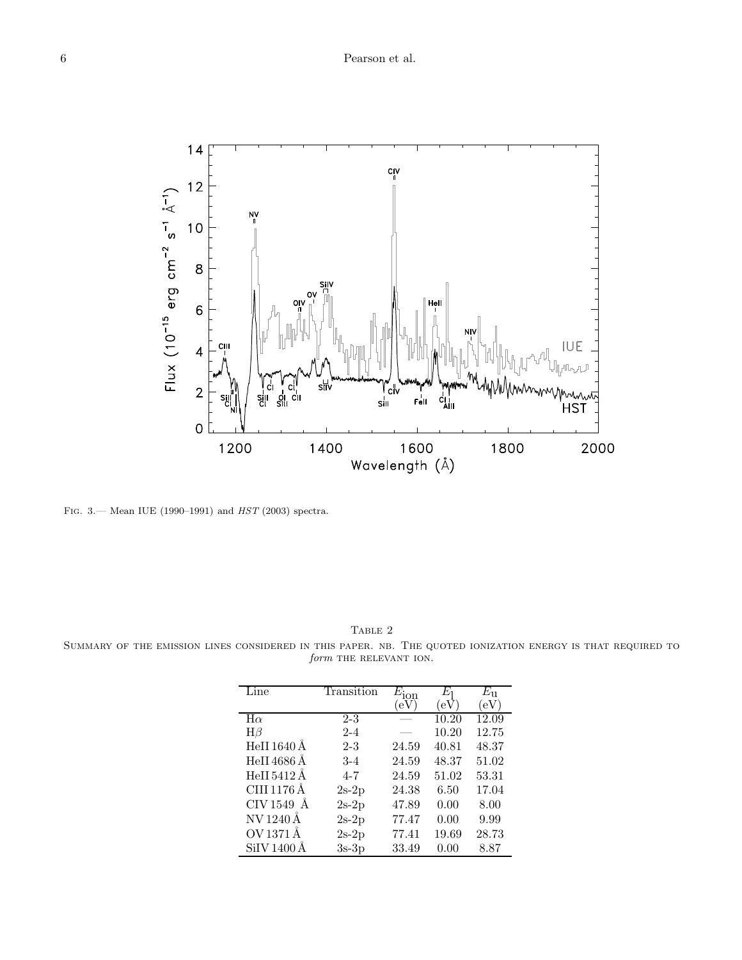

Fig. 3.— Mean IUE (1990–1991) and HST (2003) spectra.

TABLE 2

Summary of the emission lines considered in this paper. nb. The quoted ionization energy is that required to  $\it{form}$  THE RELEVANT ION.

| Line        | Transition | $E_{\rm ion}$ | Ŀη    | $E_{11}$ |
|-------------|------------|---------------|-------|----------|
|             |            | eV            | (eV   | (eV)     |
| $H\alpha$   | $2 - 3$    |               | 10.20 | 12.09    |
| $H\beta$    | $2 - 4$    |               | 10.20 | 12.75    |
| HeII 1640 Å | $2 - 3$    | 24.59         | 40.81 | 48.37    |
| HeII 4686 Å | $3-4$      | 24.59         | 48.37 | 51.02    |
| HeII 5412 Å | $4 - 7$    | 24.59         | 51.02 | 53.31    |
| CIII 1176 Å | $2s-2p$    | 24.38         | 6.50  | 17.04    |
| CIV 1549 Å  | $2s-2p$    | 47.89         | 0.00  | 8.00     |
| NV 1240 Å   | $2s-2p$    | 77.47         | 0.00  | 9.99     |
| OV 1371 Å   | $2s-2p$    | 77.41         | 19.69 | 28.73    |
| SiIV 1400 Å | $3s-3p$    | 33.49         | 0.00  | 8.87     |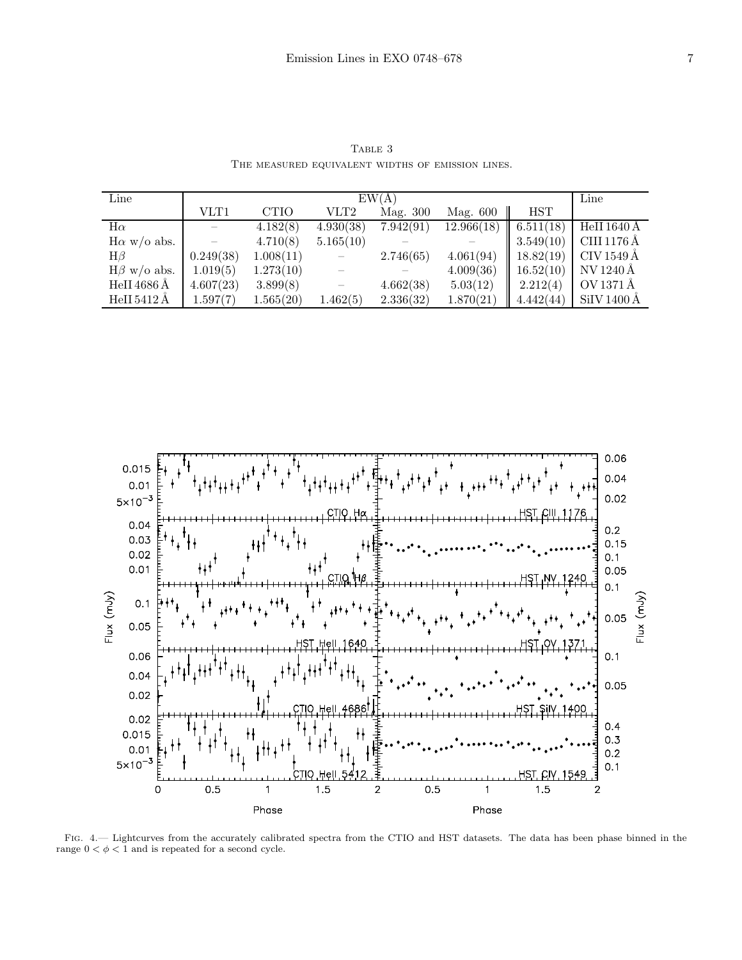| Line               | EW(A)     |             |           |           |            | Line       |             |
|--------------------|-----------|-------------|-----------|-----------|------------|------------|-------------|
|                    | VLT1      | <b>CTIO</b> | VLT2      | Mag. 300  | Mag. 600   | <b>HST</b> |             |
| $H\alpha$          |           | 4.182(8)    | 4.930(38) | 7.942(91) | 12.966(18) | 6.511(18)  | HeII 1640 Å |
| $H\alpha$ w/o abs. |           | 4.710(8)    | 5.165(10) |           |            | 3.549(10)  | CIII 1176 Å |
| $H\beta$           | 0.249(38) | 1.008(11)   |           | 2.746(65) | 4.061(94)  | 18.82(19)  | CIV 1549 Å  |
| $H\beta$ w/o abs.  | 1.019(5)  | 1.273(10)   |           |           | 4.009(36)  | 16.52(10)  | NV 1240 Å   |
| HeII 4686 Å        | 4.607(23) | 3.899(8)    |           | 4.662(38) | 5.03(12)   | 2.212(4)   | OV 1371 Å   |
| HeII 5412 Å        | 1.597(7)  | 1.565(20)   | 1.462(5)  | 2.336(32) | 1.870(21)  | 4.442(44)  | SiIV 1400 Å |

TABLE 3 The measured equivalent widths of emission lines.



Fig. 4.— Lightcurves from the accurately calibrated spectra from the CTIO and HST datasets. The data has been phase binned in the range  $0 < \phi < 1$  and is repeated for a second cycle.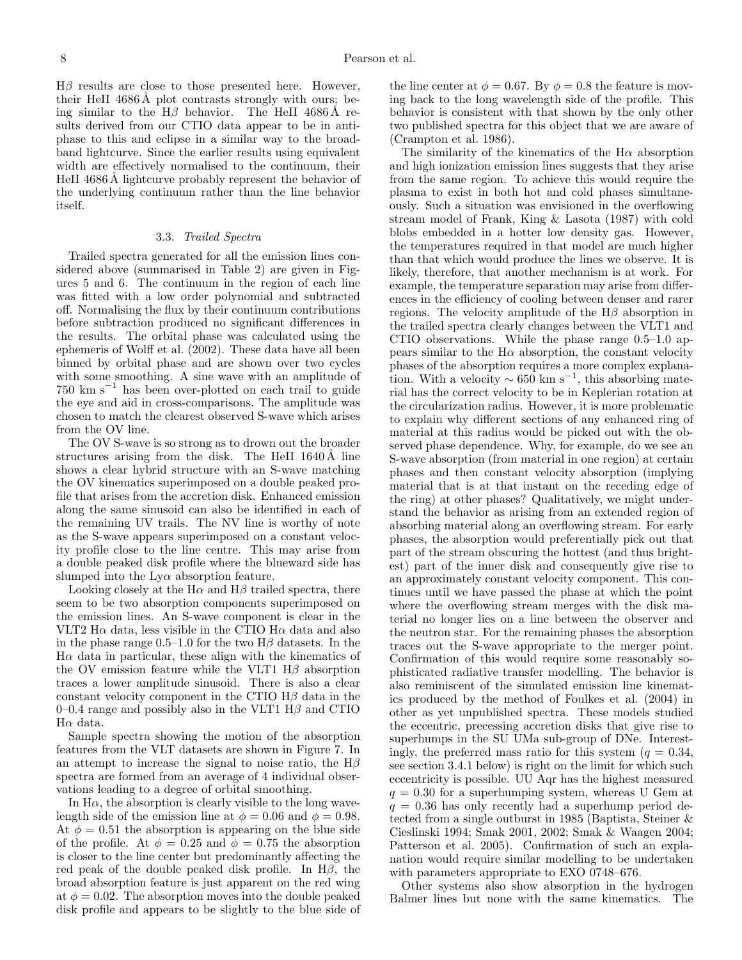$H\beta$  results are close to those presented here. However, their HeII  $4686\text{\AA}$  plot contrasts strongly with ours; being similar to the H $\beta$  behavior. The HeII 4686 Å results derived from our CTIO data appear to be in antiphase to this and eclipse in a similar way to the broadband lightcurve. Since the earlier results using equivalent width are effectively normalised to the continuum, their HeII 4686 Å lightcurve probably represent the behavior of the underlying continuum rather than the line behavior itself.

## 3.3. Trailed Spectra

Trailed spectra generated for all the emission lines considered above (summarised in Table 2) are given in Figures 5 and 6. The continuum in the region of each line was fitted with a low order polynomial and subtracted off. Normalising the flux by their continuum contributions before subtraction produced no significant differences in the results. The orbital phase was calculated using the ephemeris of Wolff et al. (2002). These data have all been binned by orbital phase and are shown over two cycles with some smoothing. A sine wave with an amplitude of 750 km s<sup>−</sup><sup>1</sup> has been over-plotted on each trail to guide the eye and aid in cross-comparisons. The amplitude was chosen to match the clearest observed S-wave which arises from the OV line.

The OV S-wave is so strong as to drown out the broader structures arising from the disk. The HeII  $1640 \text{\AA}$  line shows a clear hybrid structure with an S-wave matching the OV kinematics superimposed on a double peaked profile that arises from the accretion disk. Enhanced emission along the same sinusoid can also be identified in each of the remaining UV trails. The NV line is worthy of note as the S-wave appears superimposed on a constant velocity profile close to the line centre. This may arise from a double peaked disk profile where the blueward side has slumped into the  $Ly\alpha$  absorption feature.

Looking closely at the H $\alpha$  and H $\beta$  trailed spectra, there seem to be two absorption components superimposed on the emission lines. An S-wave component is clear in the VLT2 H $\alpha$  data, less visible in the CTIO H $\alpha$  data and also in the phase range  $0.5-1.0$  for the two H $\beta$  datasets. In the  $H\alpha$  data in particular, these align with the kinematics of the OV emission feature while the VLT1  $H\beta$  absorption traces a lower amplitude sinusoid. There is also a clear constant velocity component in the CTIO  $H\beta$  data in the 0–0.4 range and possibly also in the VLT1  $H\beta$  and CTIO  $H\alpha$  data.

Sample spectra showing the motion of the absorption features from the VLT datasets are shown in Figure 7. In an attempt to increase the signal to noise ratio, the  $H\beta$ spectra are formed from an average of 4 individual observations leading to a degree of orbital smoothing.

In  $H\alpha$ , the absorption is clearly visible to the long wavelength side of the emission line at  $\phi = 0.06$  and  $\phi = 0.98$ . At  $\phi = 0.51$  the absorption is appearing on the blue side of the profile. At  $\phi = 0.25$  and  $\phi = 0.75$  the absorption is closer to the line center but predominantly affecting the red peak of the double peaked disk profile. In  $H\beta$ , the broad absorption feature is just apparent on the red wing at  $\phi = 0.02$ . The absorption moves into the double peaked disk profile and appears to be slightly to the blue side of the line center at  $\phi = 0.67$ . By  $\phi = 0.8$  the feature is moving back to the long wavelength side of the profile. This behavior is consistent with that shown by the only other two published spectra for this object that we are aware of (Crampton et al. 1986).

The similarity of the kinematics of the  $H\alpha$  absorption and high ionization emission lines suggests that they arise from the same region. To achieve this would require the plasma to exist in both hot and cold phases simultaneously. Such a situation was envisioned in the overflowing stream model of Frank, King & Lasota (1987) with cold blobs embedded in a hotter low density gas. However, the temperatures required in that model are much higher than that which would produce the lines we observe. It is likely, therefore, that another mechanism is at work. For example, the temperature separation may arise from differences in the efficiency of cooling between denser and rarer regions. The velocity amplitude of the  $H\beta$  absorption in the trailed spectra clearly changes between the VLT1 and CTIO observations. While the phase range 0.5–1.0 appears similar to the  $H\alpha$  absorption, the constant velocity phases of the absorption requires a more complex explanation. With a velocity  $\sim 650$  km s<sup>-1</sup>, this absorbing material has the correct velocity to be in Keplerian rotation at the circularization radius. However, it is more problematic to explain why different sections of any enhanced ring of material at this radius would be picked out with the observed phase dependence. Why, for example, do we see an S-wave absorption (from material in one region) at certain phases and then constant velocity absorption (implying material that is at that instant on the receding edge of the ring) at other phases? Qualitatively, we might understand the behavior as arising from an extended region of absorbing material along an overflowing stream. For early phases, the absorption would preferentially pick out that part of the stream obscuring the hottest (and thus brightest) part of the inner disk and consequently give rise to an approximately constant velocity component. This continues until we have passed the phase at which the point where the overflowing stream merges with the disk material no longer lies on a line between the observer and the neutron star. For the remaining phases the absorption traces out the S-wave appropriate to the merger point. Confirmation of this would require some reasonably sophisticated radiative transfer modelling. The behavior is also reminiscent of the simulated emission line kinematics produced by the method of Foulkes et al. (2004) in other as yet unpublished spectra. These models studied the eccentric, precessing accretion disks that give rise to superhumps in the SU UMa sub-group of DNe. Interestingly, the preferred mass ratio for this system  $(q = 0.34,$ see section 3.4.1 below) is right on the limit for which such eccentricity is possible. UU Aqr has the highest measured  $q = 0.30$  for a superhumping system, whereas U Gem at  $q = 0.36$  has only recently had a superhump period detected from a single outburst in 1985 (Baptista, Steiner & Cieslinski 1994; Smak 2001, 2002; Smak & Waagen 2004; Patterson et al. 2005). Confirmation of such an explanation would require similar modelling to be undertaken with parameters appropriate to EXO 0748–676.

Other systems also show absorption in the hydrogen Balmer lines but none with the same kinematics. The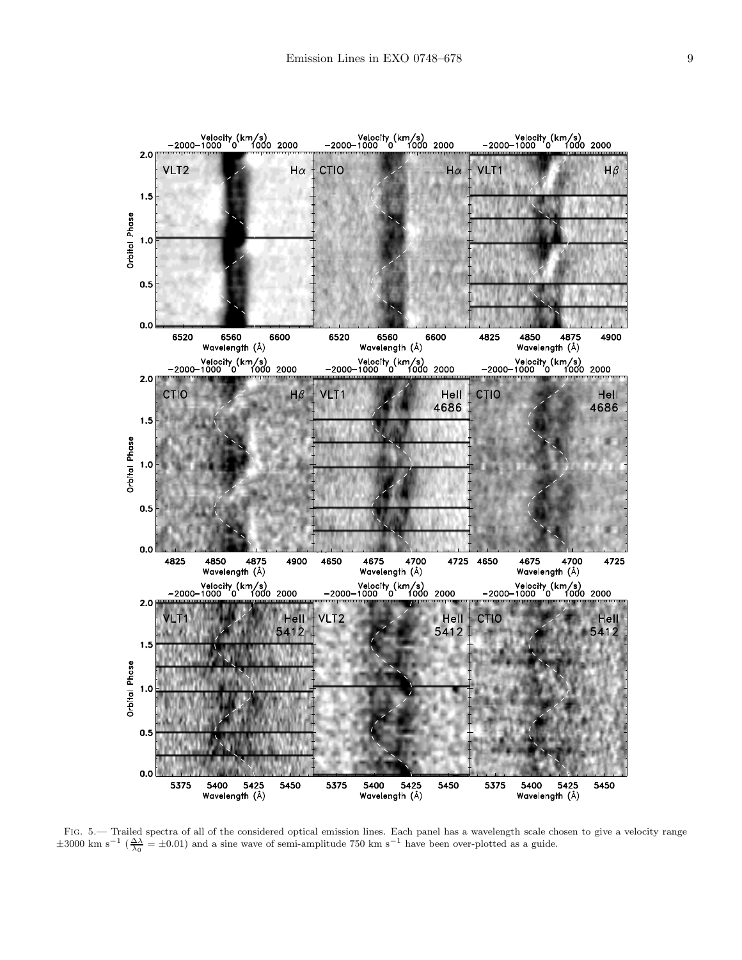

FIG. 5.— Trailed spectra of all of the considered optical emission lines. Each panel has a wavelength scale chosen to give a velocity range  $\pm 3000 \text{ km s}^{-1} (\frac{\Delta\Delta}{\lambda_0} = \pm 0.01)$  and a sine wave of semi-amplitude 750 km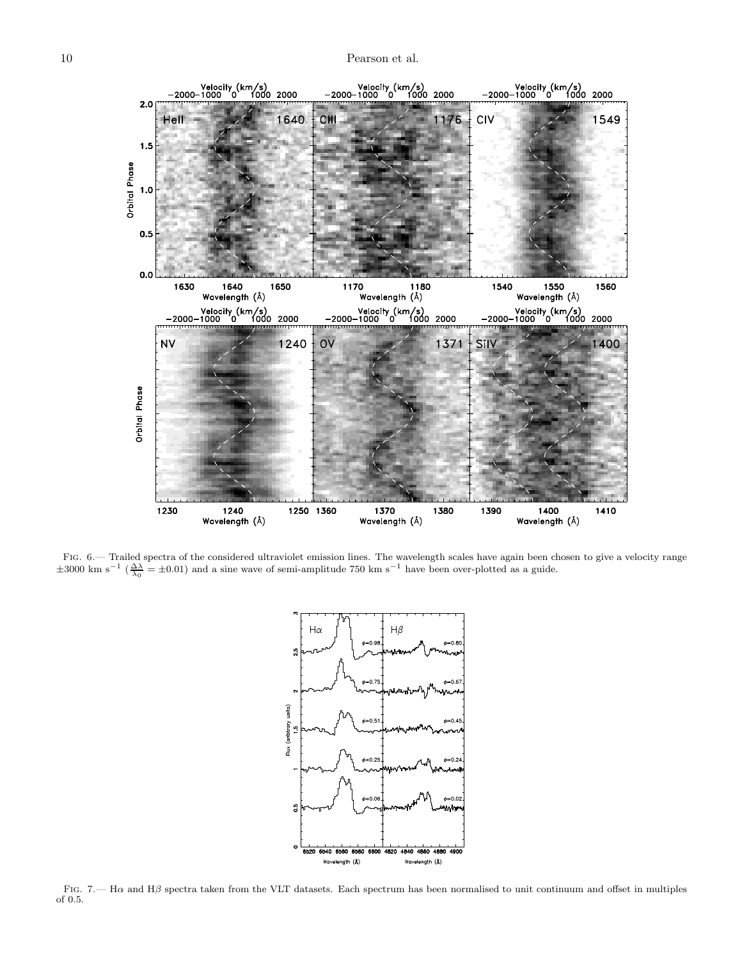

FIG. 6.— Trailed spectra of the considered ultraviolet emission lines. The wavelength scales have again been chosen to give a velocity range  $\pm 3000 \text{ km s}^{-1} (\frac{\Delta\Delta}{\lambda_0} = \pm 0.01)$  and a sine wave of semi-amplitude 750 km



Fig. 7.— Hα and Hβ spectra taken from the VLT datasets. Each spectrum has been normalised to unit continuum and offset in multiples of 0.5.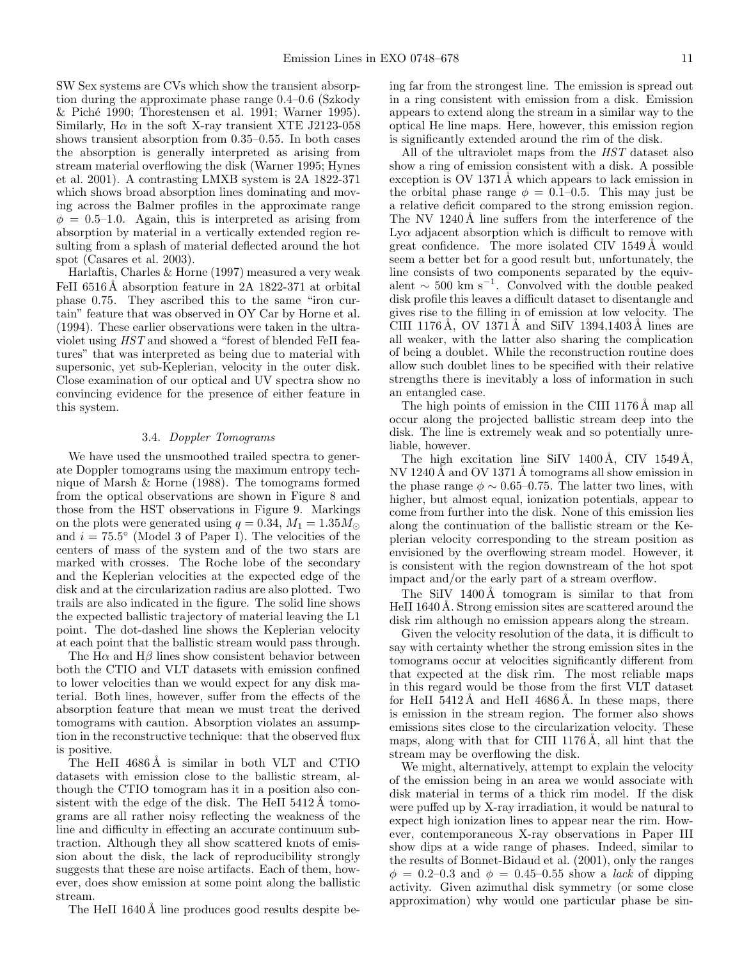SW Sex systems are CVs which show the transient absorption during the approximate phase range 0.4–0.6 (Szkody & Pich´e 1990; Thorestensen et al. 1991; Warner 1995). Similarly, H $\alpha$  in the soft X-ray transient XTE J2123-058 shows transient absorption from 0.35–0.55. In both cases the absorption is generally interpreted as arising from stream material overflowing the disk (Warner 1995; Hynes et al. 2001). A contrasting LMXB system is 2A 1822-371 which shows broad absorption lines dominating and moving across the Balmer profiles in the approximate range  $\phi = 0.5{\text -}1.0$ . Again, this is interpreted as arising from absorption by material in a vertically extended region resulting from a splash of material deflected around the hot spot (Casares et al. 2003).

Harlaftis, Charles & Horne (1997) measured a very weak FeII 6516Å absorption feature in 2A 1822-371 at orbital phase 0.75. They ascribed this to the same "iron curtain" feature that was observed in OY Car by Horne et al. (1994). These earlier observations were taken in the ultraviolet using HST and showed a "forest of blended FeII features" that was interpreted as being due to material with supersonic, yet sub-Keplerian, velocity in the outer disk. Close examination of our optical and UV spectra show no convincing evidence for the presence of either feature in this system.

## 3.4. Doppler Tomograms

We have used the unsmoothed trailed spectra to generate Doppler tomograms using the maximum entropy technique of Marsh & Horne (1988). The tomograms formed from the optical observations are shown in Figure 8 and those from the HST observations in Figure 9. Markings on the plots were generated using  $q = 0.34$ ,  $M_1 = 1.35 M_{\odot}$ and  $i = 75.5^{\circ}$  (Model 3 of Paper I). The velocities of the centers of mass of the system and of the two stars are marked with crosses. The Roche lobe of the secondary and the Keplerian velocities at the expected edge of the disk and at the circularization radius are also plotted. Two trails are also indicated in the figure. The solid line shows the expected ballistic trajectory of material leaving the L1 point. The dot-dashed line shows the Keplerian velocity at each point that the ballistic stream would pass through.

The H $\alpha$  and H $\beta$  lines show consistent behavior between both the CTIO and VLT datasets with emission confined to lower velocities than we would expect for any disk material. Both lines, however, suffer from the effects of the absorption feature that mean we must treat the derived tomograms with caution. Absorption violates an assumption in the reconstructive technique: that the observed flux is positive.

The HeII 4686A is similar in both VLT and CTIO datasets with emission close to the ballistic stream, although the CTIO tomogram has it in a position also consistent with the edge of the disk. The HeII  $5412\text{\AA}$  tomograms are all rather noisy reflecting the weakness of the line and difficulty in effecting an accurate continuum subtraction. Although they all show scattered knots of emission about the disk, the lack of reproducibility strongly suggests that these are noise artifacts. Each of them, however, does show emission at some point along the ballistic stream.

The HeII 1640Å line produces good results despite be-

ing far from the strongest line. The emission is spread out in a ring consistent with emission from a disk. Emission appears to extend along the stream in a similar way to the optical He line maps. Here, however, this emission region is significantly extended around the rim of the disk.

All of the ultraviolet maps from the HST dataset also show a ring of emission consistent with a disk. A possible exception is OV 1371 Å which appears to lack emission in the orbital phase range  $\phi = 0.1{\text -}0.5$ . This may just be a relative deficit compared to the strong emission region. The NV  $1240 \text{\AA}$  line suffers from the interference of the  $Ly\alpha$  adjacent absorption which is difficult to remove with great confidence. The more isolated CIV 1549 Å would seem a better bet for a good result but, unfortunately, the line consists of two components separated by the equivalent  $\sim$  500 km s<sup>-1</sup>. Convolved with the double peaked disk profile this leaves a difficult dataset to disentangle and gives rise to the filling in of emission at low velocity. The CIII 1176 Å, OV 1371 Å and SiIV 1394,1403 Å lines are all weaker, with the latter also sharing the complication of being a doublet. While the reconstruction routine does allow such doublet lines to be specified with their relative strengths there is inevitably a loss of information in such an entangled case.

The high points of emission in the CIII 1176 Å map all occur along the projected ballistic stream deep into the disk. The line is extremely weak and so potentially unreliable, however.

The high excitation line SiIV 1400 Å, CIV 1549 Å, NV 1240 Å and OV 1371 Å tomograms all show emission in the phase range  $\phi \sim 0.65{\text -}0.75$ . The latter two lines, with higher, but almost equal, ionization potentials, appear to come from further into the disk. None of this emission lies along the continuation of the ballistic stream or the Keplerian velocity corresponding to the stream position as envisioned by the overflowing stream model. However, it is consistent with the region downstream of the hot spot impact and/or the early part of a stream overflow.

The SiIV 1400 Å tomogram is similar to that from HeII 1640 Å. Strong emission sites are scattered around the disk rim although no emission appears along the stream.

Given the velocity resolution of the data, it is difficult to say with certainty whether the strong emission sites in the tomograms occur at velocities significantly different from that expected at the disk rim. The most reliable maps in this regard would be those from the first VLT dataset for HeII  $5412 \text{\AA}$  and HeII  $4686 \text{\AA}$ . In these maps, there is emission in the stream region. The former also shows emissions sites close to the circularization velocity. These maps, along with that for CIII  $1176 \text{\AA}$ , all hint that the stream may be overflowing the disk.

We might, alternatively, attempt to explain the velocity of the emission being in an area we would associate with disk material in terms of a thick rim model. If the disk were puffed up by X-ray irradiation, it would be natural to expect high ionization lines to appear near the rim. However, contemporaneous X-ray observations in Paper III show dips at a wide range of phases. Indeed, similar to the results of Bonnet-Bidaud et al. (2001), only the ranges  $\phi = 0.2{\text -}0.3$  and  $\phi = 0.45{\text -}0.55$  show a *lack* of dipping activity. Given azimuthal disk symmetry (or some close approximation) why would one particular phase be sin-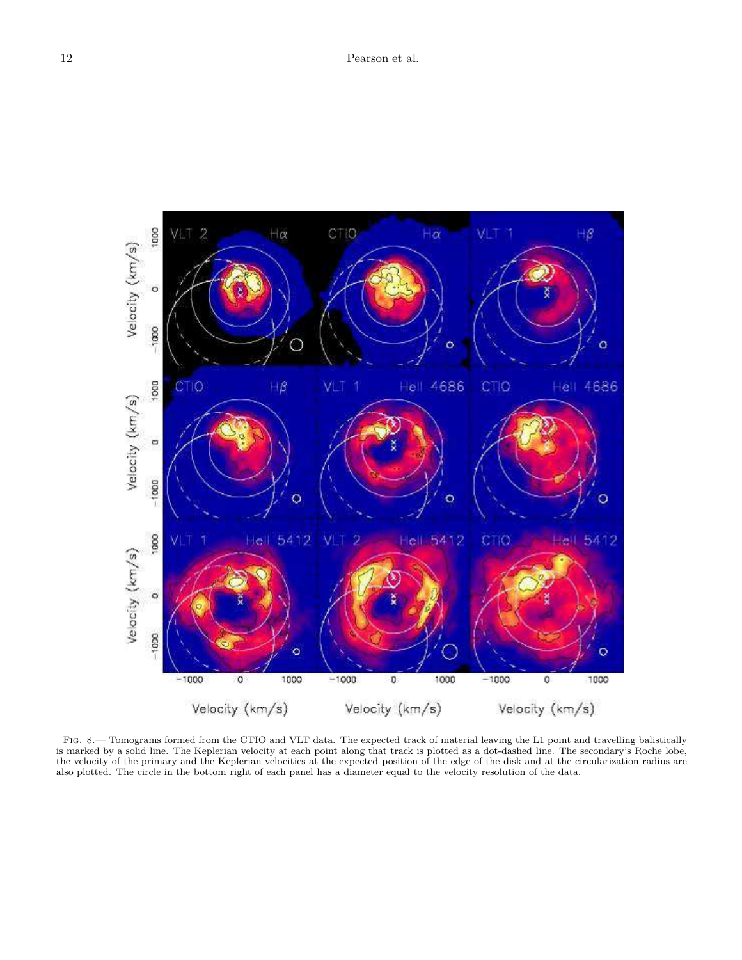

Fig. 8.— Tomograms formed from the CTIO and VLT data. The expected track of material leaving the L1 point and travelling balistically is marked by a solid line. The Keplerian velocity at each point along that track is plotted as a dot-dashed line. The secondary's Roche lobe, the velocity of the primary and the Keplerian velocities at the expected position of the edge of the disk and at the circularization radius are also plotted. The circle in the bottom right of each panel has a diameter equal to the velocity resolution of the data.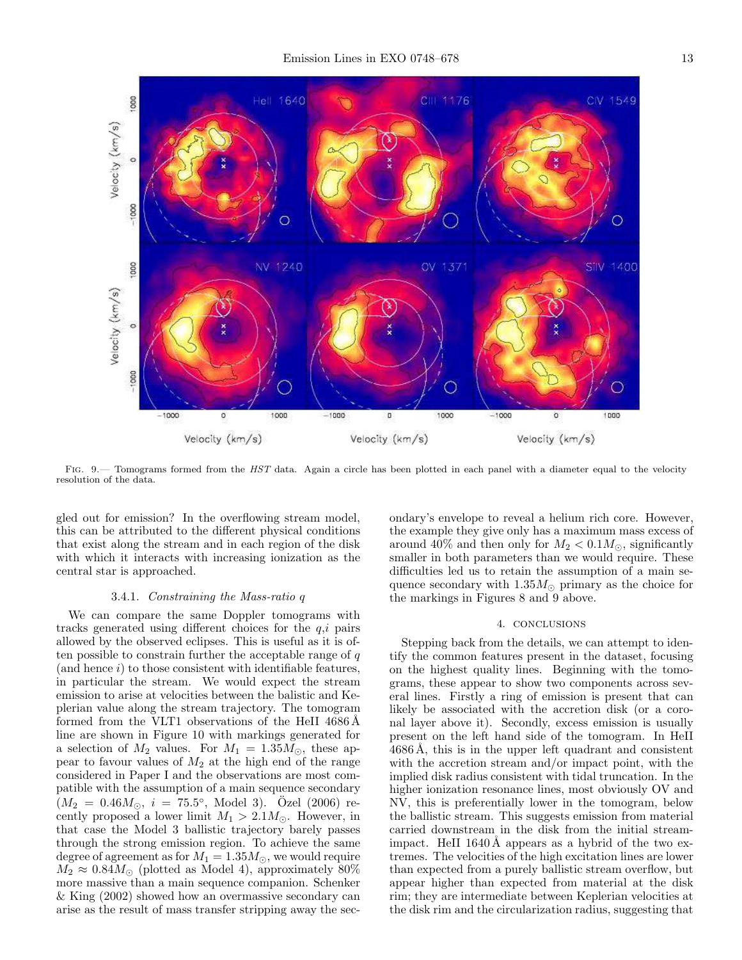

FIG. 9.— Tomograms formed from the HST data. Again a circle has been plotted in each panel with a diameter equal to the velocity resolution of the data.

gled out for emission? In the overflowing stream model, this can be attributed to the different physical conditions that exist along the stream and in each region of the disk with which it interacts with increasing ionization as the central star is approached.

## 3.4.1. Constraining the Mass-ratio q

We can compare the same Doppler tomograms with tracks generated using different choices for the  $q,i$  pairs allowed by the observed eclipses. This is useful as it is often possible to constrain further the acceptable range of  $q$  $($ and hence  $i)$  to those consistent with identifiable features, in particular the stream. We would expect the stream emission to arise at velocities between the balistic and Keplerian value along the stream trajectory. The tomogram formed from the VLT1 observations of the HeII  $4686\,\text{\AA}$ line are shown in Figure 10 with markings generated for a selection of  $M_2$  values. For  $M_1 = 1.35 M_{\odot}$ , these appear to favour values of  $M_2$  at the high end of the range considered in Paper I and the observations are most compatible with the assumption of a main sequence secondary  $(M_2 = 0.46 M_{\odot}, i = 75.5^{\circ}, \text{ Model } 3).$  Özel (2006) recently proposed a lower limit  $M_1 > 2.1 M_{\odot}$ . However, in that case the Model 3 ballistic trajectory barely passes through the strong emission region. To achieve the same degree of agreement as for  $M_1 = 1.35 M_{\odot}$ , we would require  $M_2 \approx 0.84 M_{\odot}$  (plotted as Model 4), approximately 80% more massive than a main sequence companion. Schenker & King (2002) showed how an overmassive secondary can arise as the result of mass transfer stripping away the secondary's envelope to reveal a helium rich core. However, the example they give only has a maximum mass excess of around 40% and then only for  $M_2 < 0.1 M_{\odot}$ , significantly smaller in both parameters than we would require. These difficulties led us to retain the assumption of a main sequence secondary with  $1.35M_{\odot}$  primary as the choice for the markings in Figures 8 and 9 above.

#### 4. conclusions

Stepping back from the details, we can attempt to identify the common features present in the dataset, focusing on the highest quality lines. Beginning with the tomograms, these appear to show two components across several lines. Firstly a ring of emission is present that can likely be associated with the accretion disk (or a coronal layer above it). Secondly, excess emission is usually present on the left hand side of the tomogram. In HeII  $4686 \text{\AA}$ , this is in the upper left quadrant and consistent with the accretion stream and/or impact point, with the implied disk radius consistent with tidal truncation. In the higher ionization resonance lines, most obviously OV and NV, this is preferentially lower in the tomogram, below the ballistic stream. This suggests emission from material carried downstream in the disk from the initial streamimpact. HeII  $1640 \text{\AA}$  appears as a hybrid of the two extremes. The velocities of the high excitation lines are lower than expected from a purely ballistic stream overflow, but appear higher than expected from material at the disk rim; they are intermediate between Keplerian velocities at the disk rim and the circularization radius, suggesting that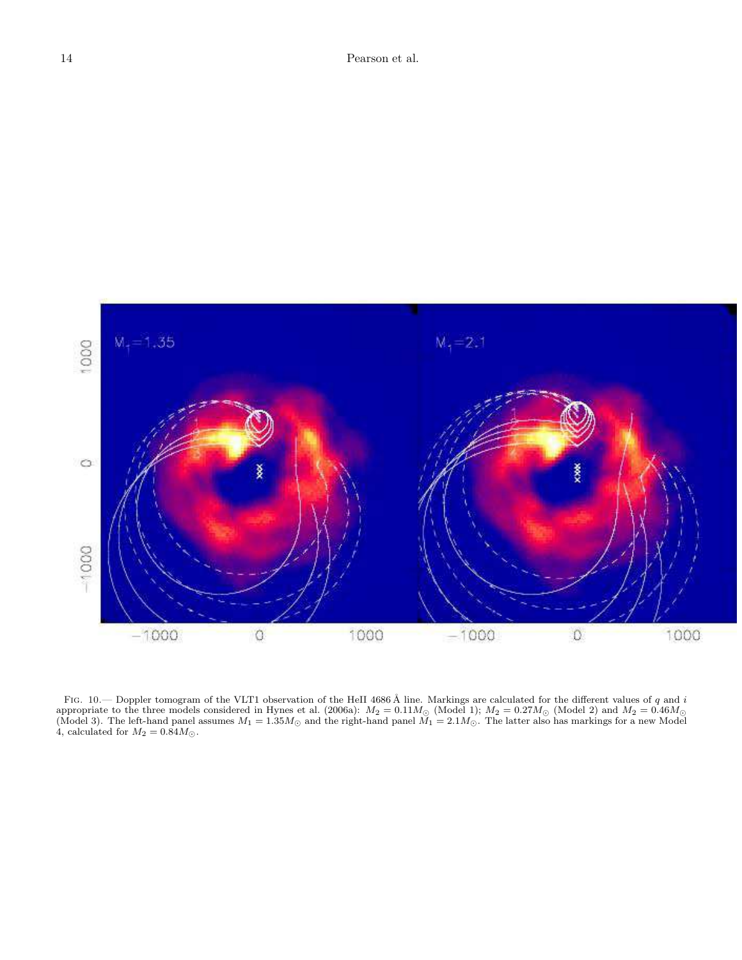

FIG. 10.— Doppler tomogram of the VLT1 observation of the HeII 4686 Å line. Markings are calculated for the different values of q and i appropriate to the three models considered in Hynes et al. (2006a):  $M_2 = 0.11 M_{\odot}$  (Model 1);  $M_2 = 0.27 M_{\odot}$  (Model 2) and  $M_2 = 0.46 M_{\odot}$ (Model 3). The left-hand panel assumes  $M_1 = 1.35M_{\odot}$  and the right-hand panel  $M_1 = 2.1M_{\odot}$ . The latter also has markings for a new Model 4, calculated for  $M_2 = 0.84 M_{\odot}$ .